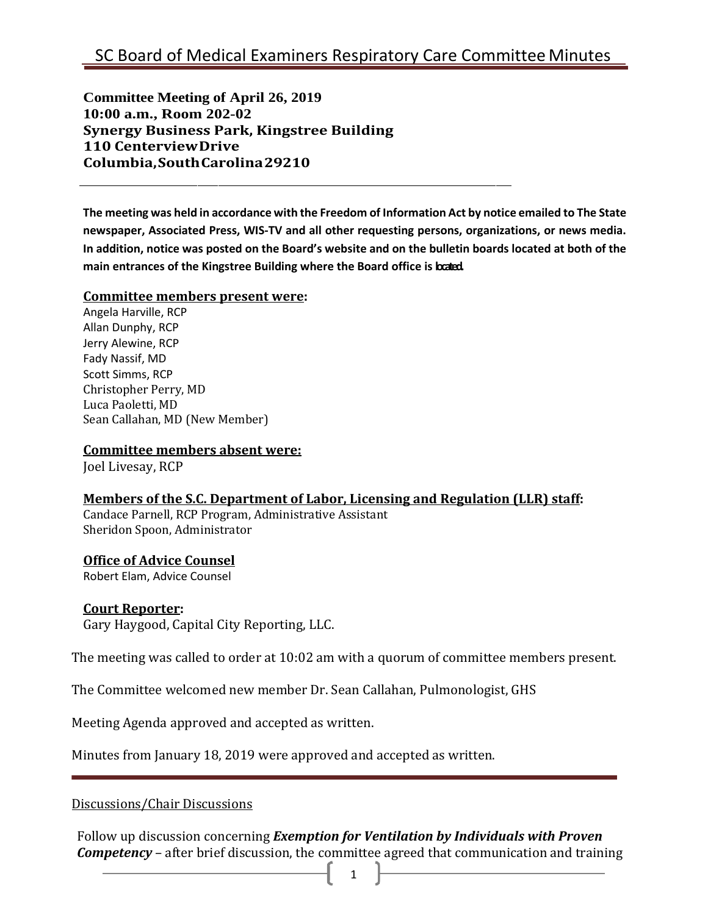**Committee Meeting of April 26, 2019 10:00 a.m., Room 202-02 Synergy Business Park, Kingstree Building 110 CenterviewDrive Columbia,SouthCarolina29210**

**The meeting was held in accordance with the Freedom of Information Act by notice emailed to The State newspaper, Associated Press, WIS-TV and all other requesting persons, organizations, or news media. In addition, notice was posted on the Board's website and on the bulletin boards located at both of the main entrances of the Kingstree Building where the Board office is located.**

#### **Committee members present were:**

Angela Harville, RCP Allan Dunphy, RCP Jerry Alewine, RCP Fady Nassif, MD Scott Simms, RCP Christopher Perry, MD Luca Paoletti, MD Sean Callahan, MD (New Member)

#### **Committee members absent were:**

Joel Livesay, RCP

## **Members of the S.C. Department of Labor, Licensing and Regulation (LLR) staff:**

Candace Parnell, RCP Program, Administrative Assistant Sheridon Spoon, Administrator

#### **Office of Advice Counsel**

Robert Elam, Advice Counsel

#### **Court Reporter:**

Gary Haygood, Capital City Reporting, LLC.

The meeting was called to order at 10:02 am with a quorum of committee members present.

The Committee welcomed new member Dr. Sean Callahan, Pulmonologist, GHS

Meeting Agenda approved and accepted as written.

Minutes from January 18, 2019 were approved and accepted as written.

Discussions/Chair Discussions

Follow up discussion concerning *Exemption for Ventilation by Individuals with Proven Competency* – after brief discussion, the committee agreed that communication and training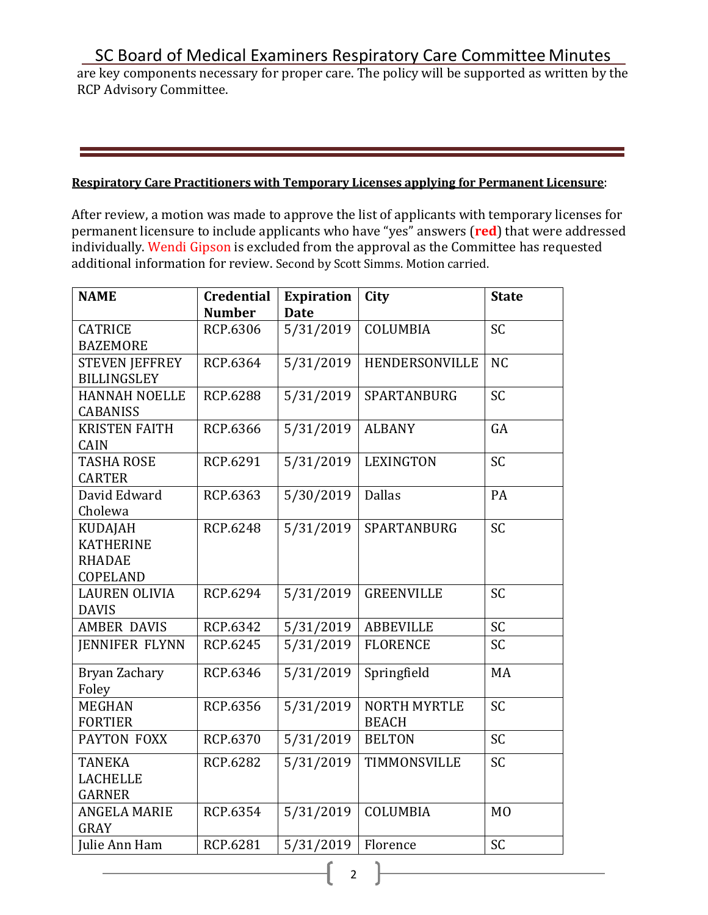# SC Board of Medical Examiners Respiratory Care Committee Minutes

are key components necessary for proper care. The policy will be supported as written by the RCP Advisory Committee.

### **Respiratory Care Practitioners with Temporary Licenses applying for Permanent Licensure**:

After review, a motion was made to approve the list of applicants with temporary licenses for permanent licensure to include applicants who have "yes" answers (**red**) that were addressed individually. Wendi Gipson is excluded from the approval as the Committee has requested additional information for review. Second by Scott Simms. Motion carried.

| <b>NAME</b>           | <b>Credential</b> | <b>Expiration</b> | City                | <b>State</b>   |
|-----------------------|-------------------|-------------------|---------------------|----------------|
|                       | <b>Number</b>     | <b>Date</b>       |                     |                |
| <b>CATRICE</b>        | RCP.6306          | 5/31/2019         | COLUMBIA            | SC             |
| <b>BAZEMORE</b>       |                   |                   |                     |                |
| <b>STEVEN JEFFREY</b> | RCP.6364          | 5/31/2019         | HENDERSONVILLE      | <b>NC</b>      |
| <b>BILLINGSLEY</b>    |                   |                   |                     |                |
| <b>HANNAH NOELLE</b>  | <b>RCP.6288</b>   | 5/31/2019         | SPARTANBURG         | <b>SC</b>      |
| <b>CABANISS</b>       |                   |                   |                     |                |
| <b>KRISTEN FAITH</b>  | RCP.6366          | 5/31/2019         | <b>ALBANY</b>       | GA             |
| CAIN                  |                   |                   |                     |                |
| <b>TASHA ROSE</b>     | RCP.6291          | 5/31/2019         | <b>LEXINGTON</b>    | <b>SC</b>      |
| <b>CARTER</b>         |                   |                   |                     |                |
| David Edward          | RCP.6363          | 5/30/2019         | <b>Dallas</b>       | PA             |
| Cholewa               |                   |                   |                     |                |
| <b>KUDAJAH</b>        | <b>RCP.6248</b>   | 5/31/2019         | SPARTANBURG         | <b>SC</b>      |
| <b>KATHERINE</b>      |                   |                   |                     |                |
| <b>RHADAE</b>         |                   |                   |                     |                |
| COPELAND              |                   |                   |                     |                |
| <b>LAUREN OLIVIA</b>  | RCP.6294          | 5/31/2019         | <b>GREENVILLE</b>   | SC             |
| <b>DAVIS</b>          |                   |                   |                     |                |
| <b>AMBER DAVIS</b>    | RCP.6342          | 5/31/2019         | <b>ABBEVILLE</b>    | SC             |
| <b>JENNIFER FLYNN</b> | RCP.6245          | 5/31/2019         | <b>FLORENCE</b>     | <b>SC</b>      |
| Bryan Zachary         | RCP.6346          | 5/31/2019         | Springfield         | MA             |
| Foley                 |                   |                   |                     |                |
| <b>MEGHAN</b>         | RCP.6356          | 5/31/2019         | <b>NORTH MYRTLE</b> | <b>SC</b>      |
| <b>FORTIER</b>        |                   |                   | <b>BEACH</b>        |                |
| PAYTON FOXX           | RCP.6370          | 5/31/2019         | <b>BELTON</b>       | <b>SC</b>      |
| <b>TANEKA</b>         | RCP.6282          | 5/31/2019         | TIMMONSVILLE        | <b>SC</b>      |
| <b>LACHELLE</b>       |                   |                   |                     |                |
| <b>GARNER</b>         |                   |                   |                     |                |
| <b>ANGELA MARIE</b>   | RCP.6354          | 5/31/2019         | COLUMBIA            | M <sub>O</sub> |
| GRAY                  |                   |                   |                     |                |
| Julie Ann Ham         | RCP.6281          | 5/31/2019         | Florence            | <b>SC</b>      |

2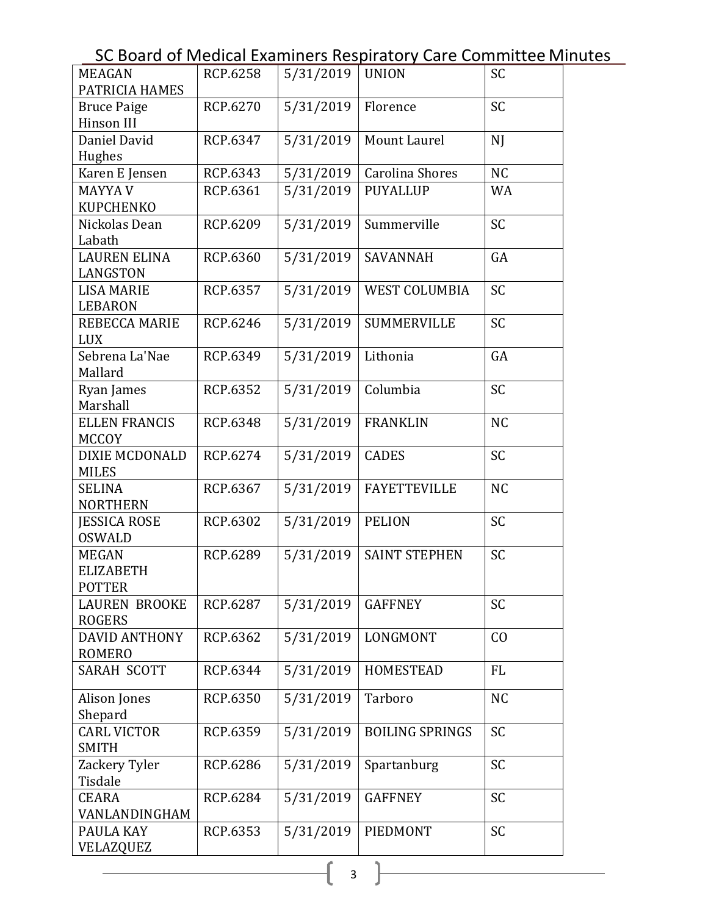SC Board of Medical Examiners Respiratory Care Committee Minutes

| <b>MEAGAN</b>                        | RCP.6258 | 5/31/2019 | <b>UNION</b>           | <b>SC</b> |
|--------------------------------------|----------|-----------|------------------------|-----------|
| PATRICIA HAMES                       |          |           |                        |           |
| <b>Bruce Paige</b><br>Hinson III     | RCP.6270 | 5/31/2019 | Florence               | <b>SC</b> |
| Daniel David                         | RCP.6347 | 5/31/2019 | Mount Laurel           | N         |
| Hughes                               |          |           |                        |           |
| Karen E Jensen                       | RCP.6343 | 5/31/2019 | Carolina Shores        | <b>NC</b> |
| <b>MAYYA V</b>                       | RCP.6361 | 5/31/2019 | <b>PUYALLUP</b>        | <b>WA</b> |
| <b>KUPCHENKO</b>                     |          |           |                        |           |
| Nickolas Dean                        | RCP.6209 | 5/31/2019 | Summerville            | <b>SC</b> |
| Labath                               |          |           |                        |           |
| <b>LAUREN ELINA</b>                  | RCP.6360 | 5/31/2019 | <b>SAVANNAH</b>        | GA        |
| LANGSTON                             |          |           |                        |           |
| <b>LISA MARIE</b>                    | RCP.6357 | 5/31/2019 | <b>WEST COLUMBIA</b>   | <b>SC</b> |
| <b>LEBARON</b>                       |          |           |                        |           |
| REBECCA MARIE                        | RCP.6246 | 5/31/2019 | <b>SUMMERVILLE</b>     | <b>SC</b> |
| <b>LUX</b>                           |          |           |                        |           |
| Sebrena La'Nae                       | RCP.6349 | 5/31/2019 | Lithonia               | GA        |
| Mallard                              |          |           |                        |           |
| Ryan James                           | RCP.6352 | 5/31/2019 | Columbia               | <b>SC</b> |
| Marshall                             |          |           |                        |           |
| <b>ELLEN FRANCIS</b><br><b>MCCOY</b> | RCP.6348 | 5/31/2019 | <b>FRANKLIN</b>        | <b>NC</b> |
| <b>DIXIE MCDONALD</b>                | RCP.6274 | 5/31/2019 | <b>CADES</b>           | <b>SC</b> |
| <b>MILES</b>                         |          |           |                        |           |
| SELINA                               | RCP.6367 | 5/31/2019 | <b>FAYETTEVILLE</b>    | <b>NC</b> |
| <b>NORTHERN</b>                      |          |           |                        |           |
| <b>JESSICA ROSE</b>                  | RCP.6302 | 5/31/2019 | <b>PELION</b>          | <b>SC</b> |
| <b>OSWALD</b>                        |          |           |                        |           |
| <b>MEGAN</b>                         | RCP.6289 | 5/31/2019 | <b>SAINT STEPHEN</b>   | <b>SC</b> |
| <b>ELIZABETH</b>                     |          |           |                        |           |
| <b>POTTER</b>                        |          |           |                        |           |
| <b>LAUREN BROOKE</b>                 | RCP.6287 | 5/31/2019 | <b>GAFFNEY</b>         | <b>SC</b> |
| <b>ROGERS</b>                        |          |           |                        |           |
| <b>DAVID ANTHONY</b>                 | RCP.6362 | 5/31/2019 | LONGMONT               | CO        |
| <b>ROMERO</b>                        |          |           |                        |           |
| <b>SARAH SCOTT</b>                   | RCP.6344 | 5/31/2019 | HOMESTEAD              | <b>FL</b> |
| Alison Jones                         | RCP.6350 | 5/31/2019 | Tarboro                | <b>NC</b> |
| Shepard                              |          |           |                        |           |
| <b>CARL VICTOR</b>                   | RCP.6359 | 5/31/2019 | <b>BOILING SPRINGS</b> | <b>SC</b> |
| SMITH                                |          |           |                        |           |
| Zackery Tyler                        | RCP.6286 | 5/31/2019 | Spartanburg            | SC        |
| Tisdale                              |          |           |                        |           |
| CEARA                                | RCP.6284 | 5/31/2019 | <b>GAFFNEY</b>         | <b>SC</b> |
| VANLANDINGHAM                        |          |           |                        |           |
| PAULA KAY                            | RCP.6353 | 5/31/2019 | PIEDMONT               | <b>SC</b> |
| VELAZQUEZ                            |          |           |                        |           |

 $\begin{bmatrix} 3 \end{bmatrix}$